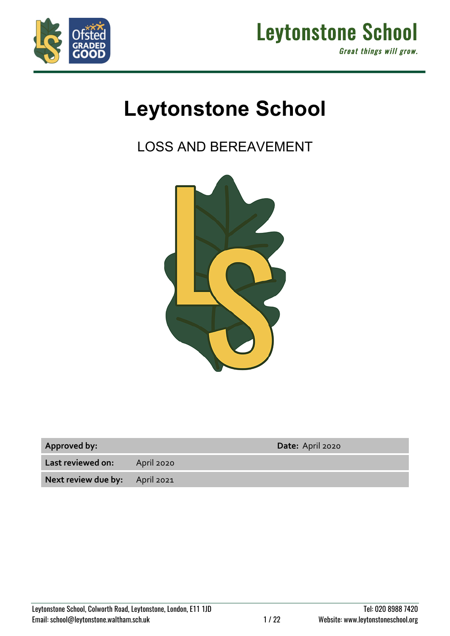



# **Leytonstone School**

LOSS AND BEREAVEMENT



| <b>Approved by:</b> |  |  |
|---------------------|--|--|
|                     |  |  |

**Approved by: Date:** April 2020

**Last reviewed on:** April 2020

**Next review due by:** April 2021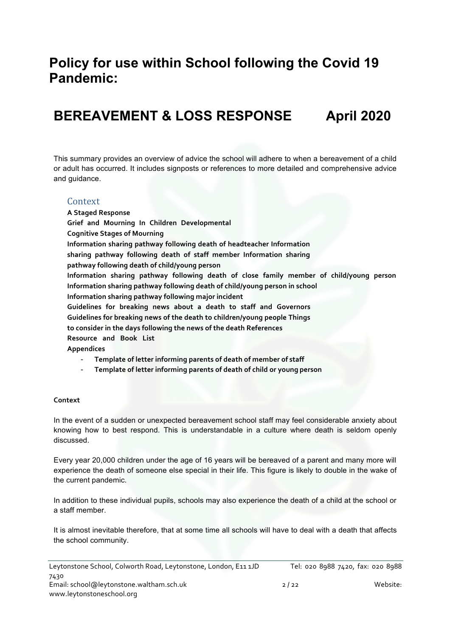# **Policy for use within School following the Covid 19 Pandemic:**

# **BEREAVEMENT & LOSS RESPONSE April 2020**

This summary provides an overview of advice the school will adhere to when a bereavement of a child or adult has occurred. It includes signposts or references to more detailed and comprehensive advice and guidance.

#### Context

**A Staged Response Grief and Mourning In Children Developmental Cognitive Stages of Mourning Information sharing pathway following death of headteacher Information sharing pathway following death of staff member Information sharing pathway following death of child/young person Information sharing pathway following death of close family member of child/young person Information sharing pathway following death of child/young person in school Information sharing pathway following major incident Guidelines for breaking news about a death to staff and Governors Guidelines for breaking news of the death to children/young people Things to consider in the days following the news of the death References Resource and Book List Appendices**

- **Template of letter informing parents of death of member of staff**
- **Template of letter informing parents of death of child or young person**

#### **Context**

In the event of a sudden or unexpected bereavement school staff may feel considerable anxiety about knowing how to best respond. This is understandable in a culture where death is seldom openly discussed.

Every year 20,000 children under the age of 16 years will be bereaved of a parent and many more will experience the death of someone else special in their life. This figure is likely to double in the wake of the current pandemic.

In addition to these individual pupils, schools may also experience the death of a child at the school or a staff member.

It is almost inevitable therefore, that at some time all schools will have to deal with a death that affects the school community.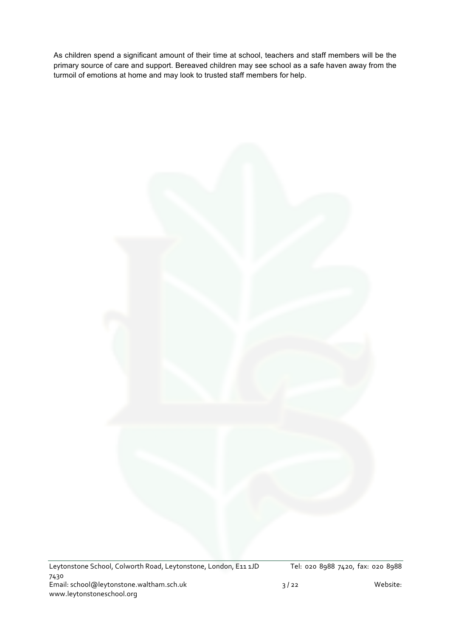As children spend a significant amount of their time at school, teachers and staff members will be the primary source of care and support. Bereaved children may see school as a safe haven away from the turmoil of emotions at home and may look to trusted staff members for help.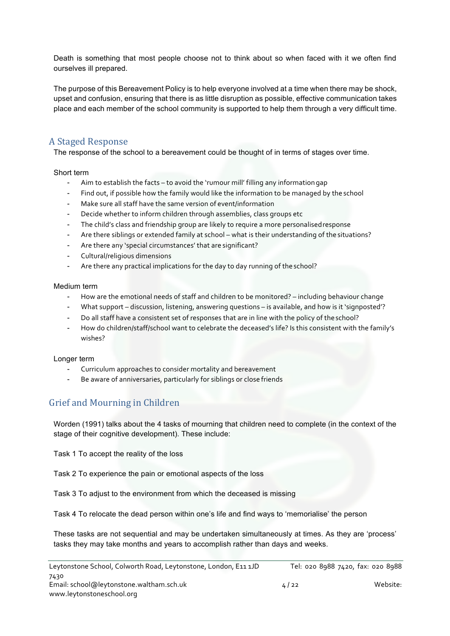Death is something that most people choose not to think about so when faced with it we often find ourselves ill prepared.

The purpose of this Bereavement Policy is to help everyone involved at a time when there may be shock, upset and confusion, ensuring that there is as little disruption as possible, effective communication takes place and each member of the school community is supported to help them through a very difficult time.

# A Staged Response

The response of the school to a bereavement could be thought of in terms of stages over time.

#### Short term

- Aim to establish the facts to avoid the 'rumour mill' filling any information gap
- Find out, if possible how the family would like the information to be managed by the school
- Make sure all staff have the same version of event/information
- Decide whether to inform children through assemblies, class groups etc
- The child's class and friendship group are likely to require a more personalised response
- Are there siblings or extended family at school what is their understanding of the situations?
- Are there any 'special circumstances' that are significant?
- Cultural/religious dimensions
- Are there any practical implications for the day to day running of the school?

#### Medium term

- How are the emotional needs of staff and children to be monitored? including behaviour change
- What support discussion, listening, answering questions is available, and how is it 'signposted'?
- Do all staff have a consistent set of responses that are in line with the policy of the school?
- How do children/staff/school want to celebrate the deceased's life? Is this consistent with the family's wishes?

#### Longer term

- Curriculum approaches to consider mortality and bereavement
- Be aware of anniversaries, particularly for siblings or close friends

# Grief and Mourning in Children

Worden (1991) talks about the 4 tasks of mourning that children need to complete (in the context of the stage of their cognitive development). These include:

Task 1 To accept the reality of the loss

Task 2 To experience the pain or emotional aspects of the loss

Task 3 To adjust to the environment from which the deceased is missing

Task 4 To relocate the dead person within one's life and find ways to 'memorialise' the person

These tasks are not sequential and may be undertaken simultaneously at times. As they are 'process' tasks they may take months and years to accomplish rather than days and weeks.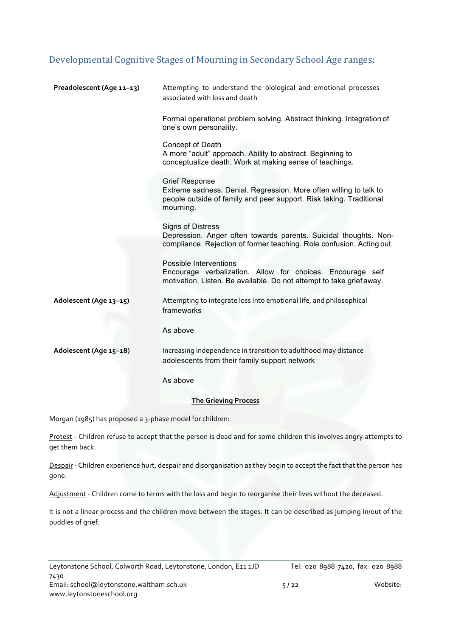# Developmental Cognitive Stages of Mourning in Secondary School Age ranges:

| Preadolescent (Age 11-13) | Attempting to understand the biological and emotional processes<br>associated with loss and death                                                                               |
|---------------------------|---------------------------------------------------------------------------------------------------------------------------------------------------------------------------------|
|                           | Formal operational problem solving. Abstract thinking. Integration of<br>one's own personality.                                                                                 |
|                           | Concept of Death<br>A more "adult" approach. Ability to abstract. Beginning to<br>conceptualize death. Work at making sense of teachings.                                       |
|                           | <b>Grief Response</b><br>Extreme sadness. Denial. Regression. More often willing to talk to<br>people outside of family and peer support. Risk taking. Traditional<br>mourning. |
|                           | <b>Signs of Distress</b><br>Depression. Anger often towards parents. Suicidal thoughts. Non-<br>compliance. Rejection of former teaching. Role confusion. Acting out.           |
|                           | Possible Interventions<br>Encourage verbalization. Allow for choices. Encourage self<br>motivation. Listen. Be available. Do not attempt to take grief away.                    |
| Adolescent (Age 13-15)    | Attempting to integrate loss into emotional life, and philosophical<br>frameworks                                                                                               |
|                           | As above                                                                                                                                                                        |
| Adolescent (Age 15-18)    | Increasing independence in transition to adulthood may distance<br>adolescents from their family support network                                                                |
|                           | As above                                                                                                                                                                        |

#### **The Grieving Process**

Morgan (1985) has proposed a 3-phase model for children:

Protest - Children refuse to accept that the person is dead and for some children this involves angry attempts to get them back.

Despair - Children experience hurt, despair and disorganisation as they begin to accept the fact that the person has gone.

Adjustment - Children come to terms with the loss and begin to reorganise their lives without the deceased.

It is not a linear process and the children move between the stages. It can be described as jumping in/out of the puddles of grief.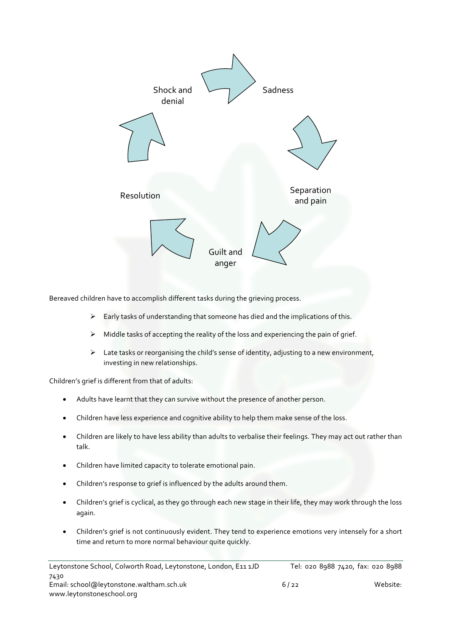

Bereaved children have to accomplish different tasks during the grieving process.

- $\triangleright$  Early tasks of understanding that someone has died and the implications of this.
- $\triangleright$  Middle tasks of accepting the reality of the loss and experiencing the pain of grief.
- $\triangleright$  Late tasks or reorganising the child's sense of identity, adjusting to a new environment, investing in new relationships.

Children's grief is different from that of adults:

- Adults have learnt that they can survive without the presence of another person.
- Children have less experience and cognitive ability to help them make sense of the loss.
- Children are likely to have less ability than adults to verbalise their feelings. They may act out rather than talk.
- Children have limited capacity to tolerate emotional pain.
- Children's response to grief is influenced by the adults around them.
- Children's grief is cyclical, as they go through each new stage in their life, they may work through the loss again.
- Children's grief is not continuously evident. They tend to experience emotions very intensely for a short time and return to more normal behaviour quite quickly.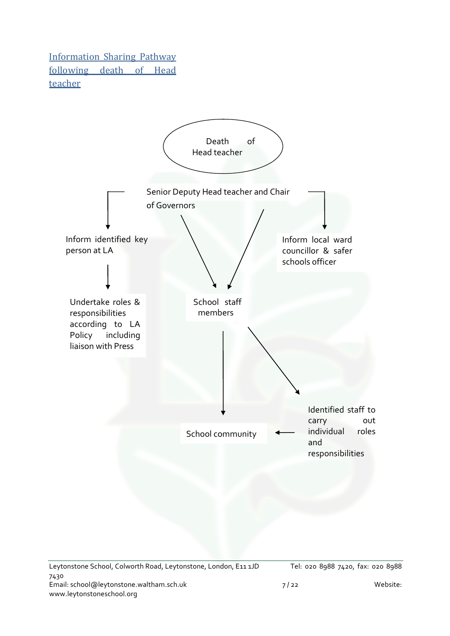**Information Sharing Pathway** following death of Head teacher 

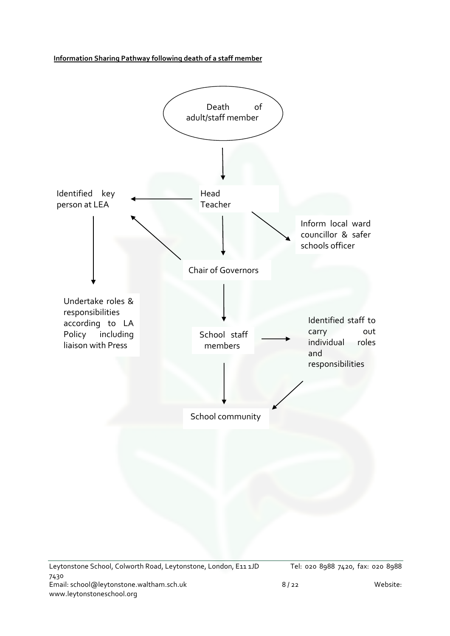**Information Sharing Pathway following death of a staff member**

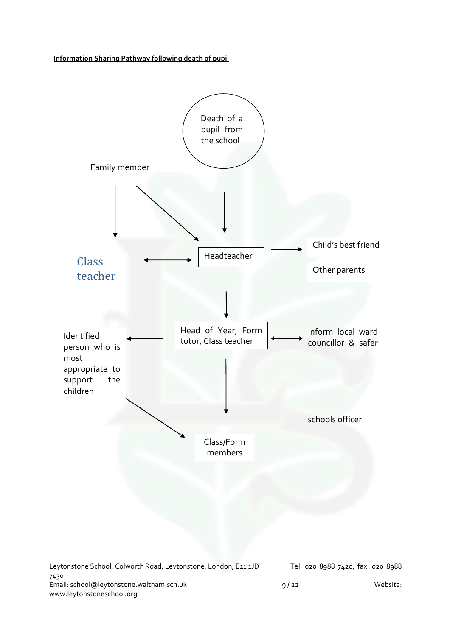**Information Sharing Pathway following death of pupil**

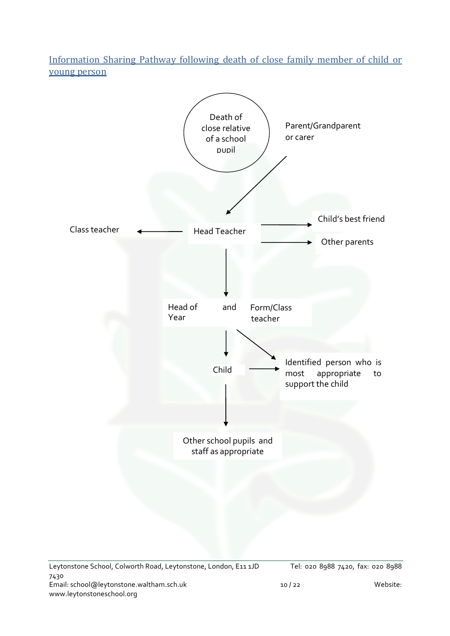Information Sharing Pathway following death of close family member of child or young person

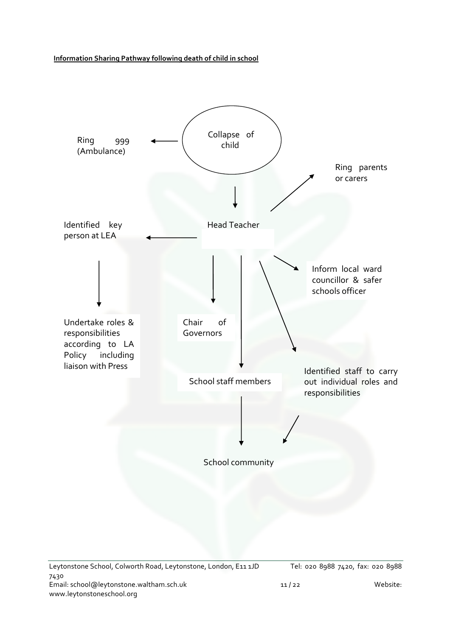**Information Sharing Pathway following death of child in school**

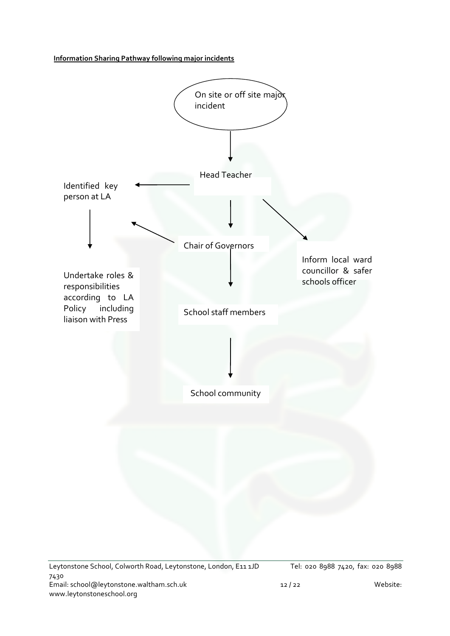**Information Sharing Pathway following major incidents**

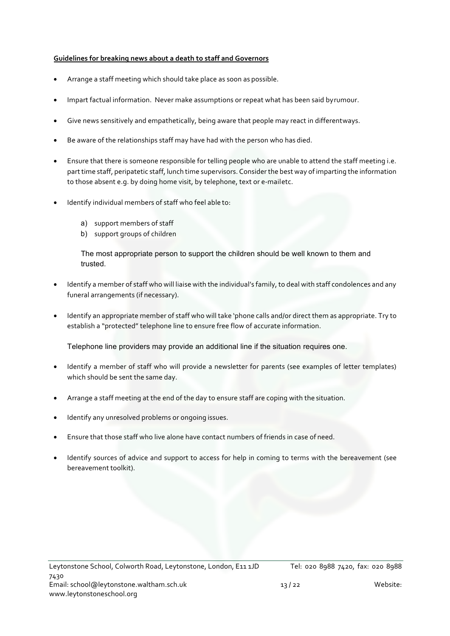#### **Guidelines for breaking news about a death to staff and Governors**

- Arrange a staff meeting which should take place as soon as possible.
- Impart factual information. Never make assumptions or repeat what has been said byrumour.
- Give news sensitively and empathetically, being aware that people may react in differentways.
- Be aware of the relationships staff may have had with the person who has died.
- Ensure that there is someone responsible for telling people who are unable to attend the staff meeting i.e. part time staff, peripatetic staff, lunch time supervisors. Consider the best way of imparting the information to those absent e.g. by doing home visit, by telephone, text or e-mailetc.
- Identify individual members of staff who feel able to:
	- a) support members of staff
	- b) support groups of children

The most appropriate person to support the children should be well known to them and trusted.

- Identify a member of staff who will liaise with the individual's family, to deal with staff condolences and any funeral arrangements (if necessary).
- Identify an appropriate member of staff who will take 'phone calls and/or direct them as appropriate. Try to establish a "protected" telephone line to ensure free flow of accurate information.

Telephone line providers may provide an additional line if the situation requires one.

- Identify a member of staff who will provide a newsletter for parents (see examples of letter templates) which should be sent the same day.
- Arrange a staff meeting at the end of the day to ensure staff are coping with the situation.
- Identify any unresolved problems or ongoing issues.
- Ensure that those staff who live alone have contact numbers of friends in case of need.
- Identify sources of advice and support to access for help in coming to terms with the bereavement (see bereavement toolkit).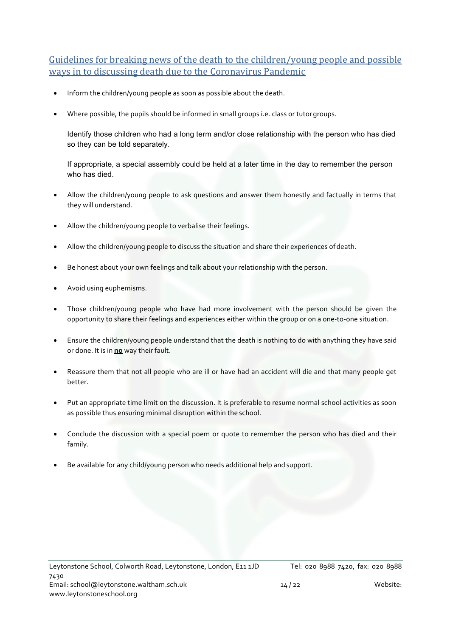Guidelines for breaking news of the death to the children/young people and possible ways in to discussing death due to the Coronavirus Pandemic

- Inform the children/young people as soon as possible about the death.
- Where possible, the pupils should be informed in small groups i.e. class or tutorgroups.

Identify those children who had a long term and/or close relationship with the person who has died so they can be told separately.

If appropriate, a special assembly could be held at a later time in the day to remember the person who has died.

- Allow the children/young people to ask questions and answer them honestly and factually in terms that they will understand.
- Allow the children/young people to verbalise their feelings.
- Allow the children/young people to discuss the situation and share their experiences of death.
- Be honest about your own feelings and talk about your relationship with the person.
- Avoid using euphemisms.
- Those children/young people who have had more involvement with the person should be given the opportunity to share their feelings and experiences either within the group or on a one-to-one situation.
- Ensure the children/young people understand that the death is nothing to do with anything they have said or done. It is in **no** way their fault.
- Reassure them that not all people who are ill or have had an accident will die and that many people get better.
- Put an appropriate time limit on the discussion. It is preferable to resume normal school activities as soon as possible thus ensuring minimal disruption within the school.
- Conclude the discussion with a special poem or quote to remember the person who has died and their family.
- Be available for any child/young person who needs additional help and support.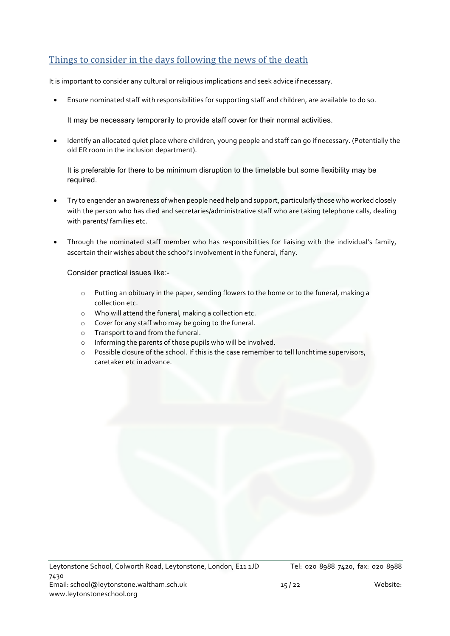# Things to consider in the days following the news of the death

It is important to consider any cultural or religious implications and seek advice ifnecessary.

• Ensure nominated staff with responsibilities for supporting staff and children, are available to do so.

It may be necessary temporarily to provide staff cover for their normal activities.

• Identify an allocated quiet place where children, young people and staff can go if necessary. (Potentially the old ER room in the inclusion department).

It is preferable for there to be minimum disruption to the timetable but some flexibility may be required.

- Try to engender an awareness of when people need help and support, particularly those who worked closely with the person who has died and secretaries/administrative staff who are taking telephone calls, dealing with parents/ families etc.
- Through the nominated staff member who has responsibilities for liaising with the individual's family, ascertain their wishes about the school's involvement in the funeral, ifany.

Consider practical issues like:-

- o Putting an obituary in the paper, sending flowers to the home or to the funeral, making a collection etc.
- o Who will attend the funeral, making a collection etc.
- o Cover for any staff who may be going to the funeral.
- o Transport to and from the funeral.
- o Informing the parents of those pupils who will be involved.
- o Possible closure of the school. If this is the case remember to tell lunchtime supervisors, caretaker etc in advance.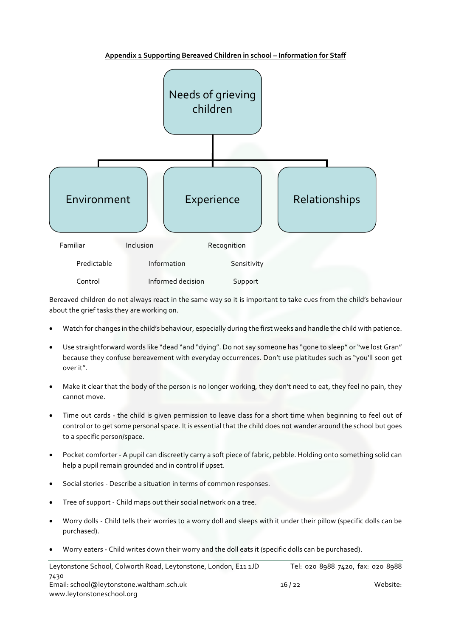

**Appendix 1 Supporting Bereaved Children in school – Information for Staff**

Bereaved children do not always react in the same way so it is important to take cues from the child's behaviour about the grief tasks they are working on.

- Watch for changes in the child's behaviour, especially during the first weeks and handle the child with patience.
- Use straightforward words like "dead "and "dying". Do not say someone has "gone to sleep" or "we lost Gran" because they confuse bereavement with everyday occurrences. Don't use platitudes such as "you'll soon get over it".
- Make it clear that the body of the person is no longer working, they don't need to eat, they feel no pain, they cannot move.
- Time out cards the child is given permission to leave class for a short time when beginning to feel out of control or to get some personal space. It is essential that the child does not wander around the school but goes to a specific person/space.
- Pocket comforter A pupil can discreetly carry a soft piece of fabric, pebble. Holding onto something solid can help a pupil remain grounded and in control if upset.
- Social stories Describe a situation in terms of common responses.
- Tree of support Child maps out their social network on a tree.
- Worry dolls Child tells their worries to a worry doll and sleeps with it under their pillow (specific dolls can be purchased).
- Worry eaters Child writes down their worry and the doll eats it (specific dolls can be purchased).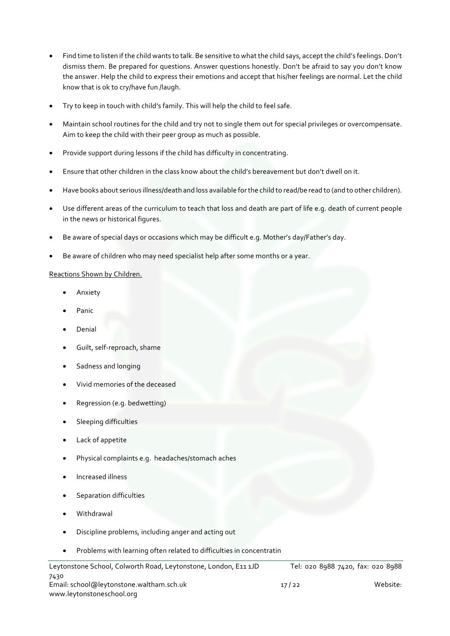- Find time to listen if the child wants to talk. Be sensitive to what the child says, accept the child's feelings. Don't dismiss them. Be prepared for questions. Answer questions honestly. Don't be afraid to say you don't know the answer. Help the child to express their emotions and accept that his/her feelings are normal. Let the child know that is ok to cry/have fun /laugh.
- Try to keep in touch with child's family. This will help the child to feel safe.
- Maintain school routines for the child and try not to single them out for special privileges or overcompensate. Aim to keep the child with their peer group as much as possible.
- Provide support during lessons if the child has difficulty in concentrating.
- Ensure that other children in the class know about the child's bereavement but don't dwell on it.
- Have books about serious illness/death and loss available for the child to read/be read to (and to other children).
- Use different areas of the curriculum to teach that loss and death are part of life e.g. death of current people in the news or historical figures.
- Be aware of special days or occasions which may be difficult e.g. Mother's day/Father's day.
- Be aware of children who may need specialist help after some months or a year.

#### Reactions Shown by Children.

- **Anxiety**
- Panic
- Denial
- Guilt, self-reproach, shame
- Sadness and longing
- Vivid memories of the deceased
- Regression (e.g. bedwetting)
- Sleeping difficulties
- Lack of appetite
- Physical complaints e.g. headaches/stomach aches
- Increased illness
- Separation difficulties
- Withdrawal
- Discipline problems, including anger and acting out
- Problems with learning often related to difficulties in concentratin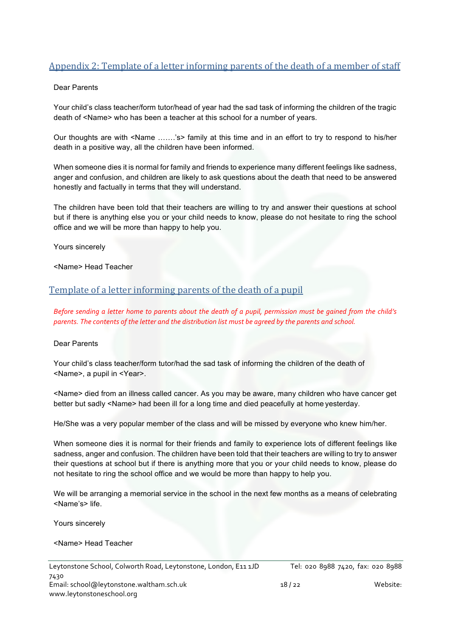# Appendix 2: Template of a letter informing parents of the death of a member of staff

#### Dear Parents

Your child's class teacher/form tutor/head of year had the sad task of informing the children of the tragic death of <Name> who has been a teacher at this school for a number of years.

Our thoughts are with <Name …….'s> family at this time and in an effort to try to respond to his/her death in a positive way, all the children have been informed.

When someone dies it is normal for family and friends to experience many different feelings like sadness, anger and confusion, and children are likely to ask questions about the death that need to be answered honestly and factually in terms that they will understand.

The children have been told that their teachers are willing to try and answer their questions at school but if there is anything else you or your child needs to know, please do not hesitate to ring the school office and we will be more than happy to help you.

Yours sincerely

<Name> Head Teacher

#### Template of a letter informing parents of the death of a pupil

*Before sending a letter home to parents about the death of a pupil, permission must be gained from the child's parents. The contents of the letter and the distribution list must be agreed by the parents and school.*

#### Dear Parents

Your child's class teacher/form tutor/had the sad task of informing the children of the death of <Name>, a pupil in <Year>.

<Name> died from an illness called cancer. As you may be aware, many children who have cancer get better but sadly <Name> had been ill for a long time and died peacefully at home yesterday.

He/She was a very popular member of the class and will be missed by everyone who knew him/her.

When someone dies it is normal for their friends and family to experience lots of different feelings like sadness, anger and confusion. The children have been told that their teachers are willing to try to answer their questions at school but if there is anything more that you or your child needs to know, please do not hesitate to ring the school office and we would be more than happy to help you.

We will be arranging a memorial service in the school in the next few months as a means of celebrating <Name's> life.

Yours sincerely

<Name> Head Teacher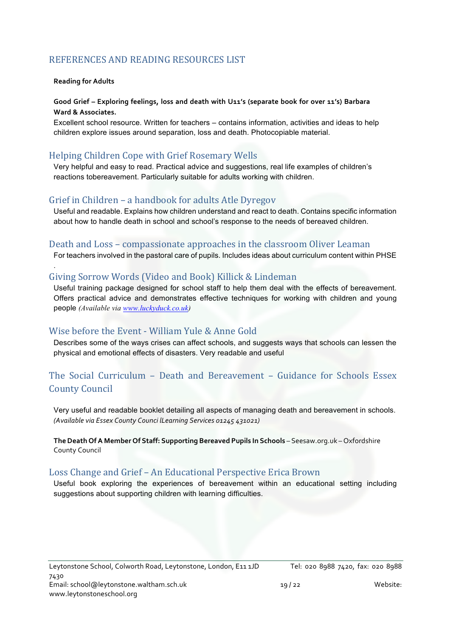# REFERENCES AND READING RESOURCES LIST

#### **Reading for Adults**

.

#### **Good Grief – Exploring feelings, loss and death with U11's (separate book for over 11's) Barbara Ward & Associates.**

Excellent school resource. Written for teachers – contains information, activities and ideas to help children explore issues around separation, loss and death. Photocopiable material.

# Helping Children Cope with Grief Rosemary Wells

Very helpful and easy to read. Practical advice and suggestions, real life examples of children's reactions tobereavement. Particularly suitable for adults working with children.

## Grief in Children – a handbook for adults Atle Dyregov

Useful and readable. Explains how children understand and react to death. Contains specific information about how to handle death in school and school's response to the needs of bereaved children.

#### Death and Loss – compassionate approaches in the classroom Oliver Leaman

For teachers involved in the pastoral care of pupils. Includes ideas about curriculum content within PHSE

## Giving Sorrow Words (Video and Book) Killick & Lindeman

Useful training package designed for school staff to help them deal with the effects of bereavement. Offers practical advice and demonstrates effective techniques for working with children and young people *(Available via www.luckyduck.co.uk)*

#### Wise before the Event - William Yule & Anne Gold

Describes some of the ways crises can affect schools, and suggests ways that schools can lessen the physical and emotional effects of disasters. Very readable and useful

# The Social Curriculum  $-$  Death and Bereavement  $-$  Guidance for Schools Essex **County Council**

Very useful and readable booklet detailing all aspects of managing death and bereavement in schools. *(Available via Essex County Counci lLearning Services 01245 431021)*

**The Death Of A Member Of Staff: Supporting Bereaved Pupils In Schools** – Seesaw.org.uk – Oxfordshire County Council

#### Loss Change and Grief – An Educational Perspective Erica Brown

Useful book exploring the experiences of bereavement within an educational setting including suggestions about supporting children with learning difficulties.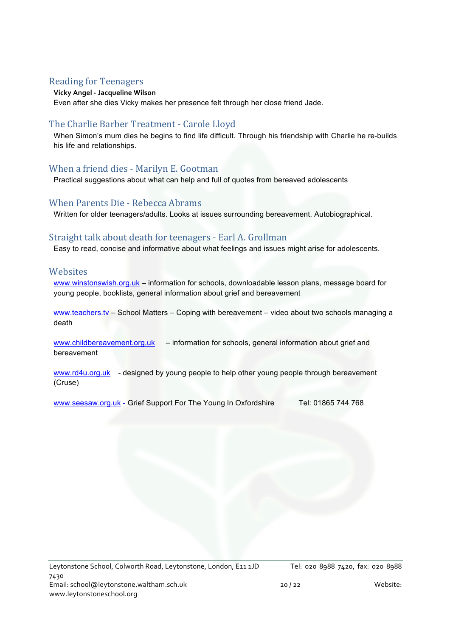# **Reading for Teenagers**

#### **Vicky Angel - Jacqueline Wilson**

Even after she dies Vicky makes her presence felt through her close friend Jade.

# The Charlie Barber Treatment - Carole Lloyd

When Simon's mum dies he begins to find life difficult. Through his friendship with Charlie he re-builds his life and relationships.

# When a friend dies - Marilyn E. Gootman

Practical suggestions about what can help and full of quotes from bereaved adolescents

## When Parents Die - Rebecca Abrams

Written for older teenagers/adults. Looks at issues surrounding bereavement. Autobiographical.

# Straight talk about death for teenagers - Earl A. Grollman

Easy to read, concise and informative about what feelings and issues might arise for adolescents.

## **Websites**

www.winstonswish.org.uk – information for schools, downloadable lesson plans, message board for young people, booklists, general information about grief and bereavement

www.teachers.tv – School Matters – Coping with bereavement – video about two schools managing a death

www.childbereavement.org.uk – information for schools, general information about grief and bereavement

www.rd4u.org.uk - designed by young people to help other young people through bereavement (Cruse)

www.seesaw.org.uk - Grief Support For The Young In Oxfordshire Tel: 01865 744 768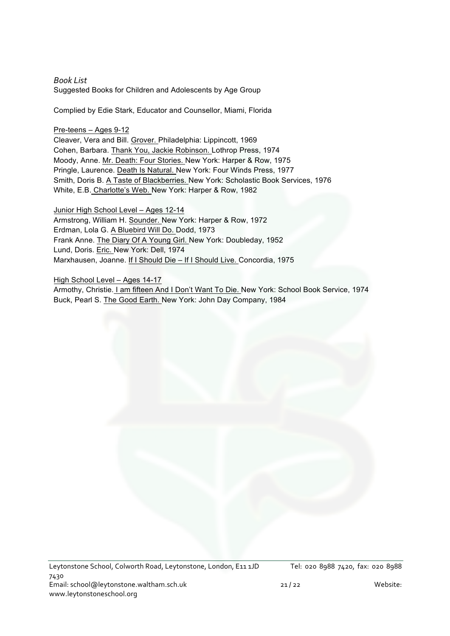*Book List* Suggested Books for Children and Adolescents by Age Group

Complied by Edie Stark, Educator and Counsellor, Miami, Florida

#### Pre-teens – Ages 9-12

Cleaver, Vera and Bill. Grover. Philadelphia: Lippincott, 1969 Cohen, Barbara. Thank You, Jackie Robinson. Lothrop Press, 1974 Moody, Anne. Mr. Death: Four Stories. New York: Harper & Row, 1975 Pringle, Laurence. Death Is Natural. New York: Four Winds Press, 1977 Smith, Doris B. A Taste of Blackberries. New York: Scholastic Book Services, 1976 White, E.B. Charlotte's Web. New York: Harper & Row, 1982

Junior High School Level – Ages 12-14 Armstrong, William H. Sounder. New York: Harper & Row, 1972 Erdman, Lola G. A Bluebird Will Do. Dodd, 1973 Frank Anne. The Diary Of A Young Girl. New York: Doubleday, 1952 Lund, Doris. Eric. New York: Dell, 1974 Marxhausen, Joanne. If I Should Die – If I Should Live. Concordia, 1975

High School Level – Ages 14-17 Armothy, Christie. I am fifteen And I Don't Want To Die. New York: School Book Service, 1974 Buck, Pearl S. The Good Earth. New York: John Day Company, 1984